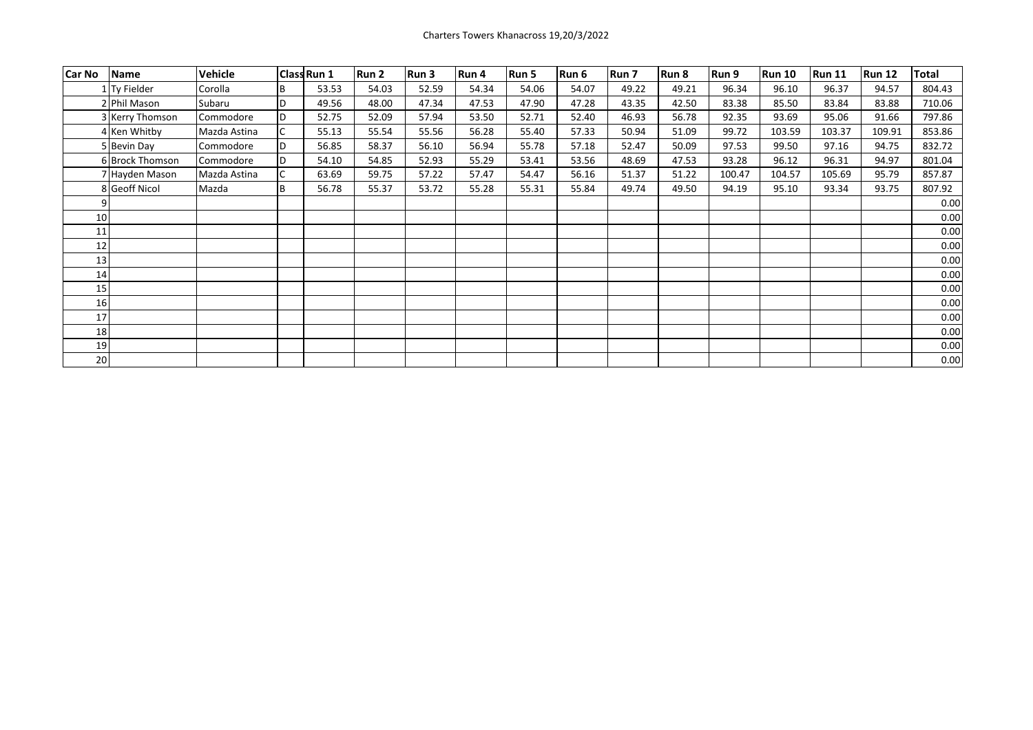| Car No | Name            | <b>Vehicle</b> |     | <b>Class Run 1</b> | Run 2 | Run 3 | Run 4 | Run 5 | Run 6 | Run 7 | Run 8 | Run 9  | <b>Run 10</b> | <b>Run 11</b> | <b>Run 12</b> | Total  |
|--------|-----------------|----------------|-----|--------------------|-------|-------|-------|-------|-------|-------|-------|--------|---------------|---------------|---------------|--------|
|        | 1 Ty Fielder    | Corolla        | B   | 53.53              | 54.03 | 52.59 | 54.34 | 54.06 | 54.07 | 49.22 | 49.21 | 96.34  | 96.10         | 96.37         | 94.57         | 804.43 |
|        | 2 Phil Mason    | Subaru         | ID. | 49.56              | 48.00 | 47.34 | 47.53 | 47.90 | 47.28 | 43.35 | 42.50 | 83.38  | 85.50         | 83.84         | 83.88         | 710.06 |
|        | 3 Kerry Thomson | Commodore      | D   | 52.75              | 52.09 | 57.94 | 53.50 | 52.71 | 52.40 | 46.93 | 56.78 | 92.35  | 93.69         | 95.06         | 91.66         | 797.86 |
|        | 4 Ken Whitby    | Mazda Astina   | C   | 55.13              | 55.54 | 55.56 | 56.28 | 55.40 | 57.33 | 50.94 | 51.09 | 99.72  | 103.59        | 103.37        | 109.91        | 853.86 |
|        | 5 Bevin Day     | Commodore      | D   | 56.85              | 58.37 | 56.10 | 56.94 | 55.78 | 57.18 | 52.47 | 50.09 | 97.53  | 99.50         | 97.16         | 94.75         | 832.72 |
|        | 6 Brock Thomson | Commodore      | D   | 54.10              | 54.85 | 52.93 | 55.29 | 53.41 | 53.56 | 48.69 | 47.53 | 93.28  | 96.12         | 96.31         | 94.97         | 801.04 |
|        | 7 Hayden Mason  | Mazda Astina   |     | 63.69              | 59.75 | 57.22 | 57.47 | 54.47 | 56.16 | 51.37 | 51.22 | 100.47 | 104.57        | 105.69        | 95.79         | 857.87 |
|        | 8 Geoff Nicol   | Mazda          | B   | 56.78              | 55.37 | 53.72 | 55.28 | 55.31 | 55.84 | 49.74 | 49.50 | 94.19  | 95.10         | 93.34         | 93.75         | 807.92 |
|        |                 |                |     |                    |       |       |       |       |       |       |       |        |               |               |               | 0.00   |
| 10     |                 |                |     |                    |       |       |       |       |       |       |       |        |               |               |               | 0.00   |
| 11     |                 |                |     |                    |       |       |       |       |       |       |       |        |               |               |               | 0.00   |
| 12     |                 |                |     |                    |       |       |       |       |       |       |       |        |               |               |               | 0.00   |
| 13     |                 |                |     |                    |       |       |       |       |       |       |       |        |               |               |               | 0.00   |
| 14     |                 |                |     |                    |       |       |       |       |       |       |       |        |               |               |               | 0.00   |
| 15     |                 |                |     |                    |       |       |       |       |       |       |       |        |               |               |               | 0.00   |
| 16     |                 |                |     |                    |       |       |       |       |       |       |       |        |               |               |               | 0.00   |
| 17     |                 |                |     |                    |       |       |       |       |       |       |       |        |               |               |               | 0.00   |
| 18     |                 |                |     |                    |       |       |       |       |       |       |       |        |               |               |               | 0.00   |
| 19     |                 |                |     |                    |       |       |       |       |       |       |       |        |               |               |               | 0.00   |
| 20     |                 |                |     |                    |       |       |       |       |       |       |       |        |               |               |               | 0.00   |